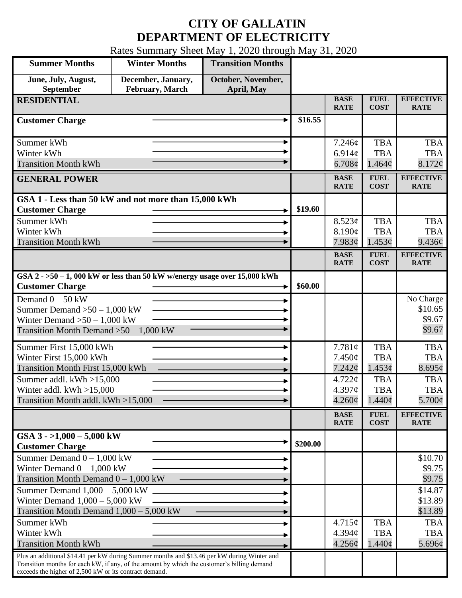## **CITY OF GALLATIN DEPARTMENT OF ELECTRICITY**

Rates Summary Sheet May 1, 2020 through May 31, 2020

| <b>Summer Months</b>                                                                                                                                                                                                                                 | <b>Winter Months</b>                  | <b>Transition Months</b>         |          |                                      |                                                |                                             |
|------------------------------------------------------------------------------------------------------------------------------------------------------------------------------------------------------------------------------------------------------|---------------------------------------|----------------------------------|----------|--------------------------------------|------------------------------------------------|---------------------------------------------|
| June, July, August,<br>September                                                                                                                                                                                                                     | December, January,<br>February, March | October, November,<br>April, May |          |                                      |                                                |                                             |
| <b>RESIDENTIAL</b>                                                                                                                                                                                                                                   |                                       |                                  |          | <b>BASE</b><br><b>RATE</b>           | <b>FUEL</b><br><b>COST</b>                     | <b>EFFECTIVE</b><br><b>RATE</b>             |
| <b>Customer Charge</b>                                                                                                                                                                                                                               |                                       |                                  | \$16.55  |                                      |                                                |                                             |
| Summer kWh<br>Winter kWh<br><b>Transition Month kWh</b>                                                                                                                                                                                              |                                       |                                  |          | 7.246¢<br>6.914c<br>$6.708\phi$      | <b>TBA</b><br><b>TBA</b><br>1.464 <sub>c</sub> | <b>TBA</b><br><b>TBA</b><br>8.172¢          |
| <b>GENERAL POWER</b>                                                                                                                                                                                                                                 |                                       |                                  |          | <b>BASE</b><br><b>RATE</b>           | <b>FUEL</b><br><b>COST</b>                     | <b>EFFECTIVE</b><br><b>RATE</b>             |
| GSA 1 - Less than 50 kW and not more than 15,000 kWh<br><b>Customer Charge</b>                                                                                                                                                                       |                                       |                                  | \$19.60  |                                      |                                                |                                             |
| Summer kWh<br>Winter kWh<br><b>Transition Month kWh</b>                                                                                                                                                                                              |                                       |                                  |          | 8.523¢<br>8.190¢<br>7.983¢           | <b>TBA</b><br><b>TBA</b><br>1.453¢             | <b>TBA</b><br><b>TBA</b><br>9.436¢          |
|                                                                                                                                                                                                                                                      |                                       |                                  |          | <b>BASE</b><br><b>RATE</b>           | <b>FUEL</b><br><b>COST</b>                     | <b>EFFECTIVE</b><br><b>RATE</b>             |
| GSA $2 - 50 - 1$ , 000 kW or less than 50 kW w/energy usage over 15,000 kWh<br><b>Customer Charge</b>                                                                                                                                                |                                       |                                  | \$60.00  |                                      |                                                |                                             |
| Demand $0 - 50$ kW<br>Summer Demand $>50-1,000$ kW<br>Winter Demand $>50-1,000$ kW<br>Transition Month Demand $>50-1,000$ kW                                                                                                                         |                                       |                                  |          |                                      |                                                | No Charge<br>\$10.65<br>\$9.67<br>\$9.67    |
| Summer First 15,000 kWh<br>Winter First 15,000 kWh<br>Transition Month First 15,000 kWh                                                                                                                                                              |                                       |                                  |          | 7.781¢<br>7.450¢<br>7.242¢           | <b>TBA</b><br><b>TBA</b><br>1.453¢             | <b>TBA</b><br><b>TBA</b><br>8.695¢          |
| Summer addl. $kWh > 15,000$<br>Winter addl. $kWh > 15,000$<br>Transition Month addl. kWh >15,000                                                                                                                                                     |                                       |                                  |          | 4.722c<br>4.397¢<br>$4.260\text{\e}$ | <b>TBA</b><br><b>TBA</b><br>$1.440\phi$        | <b>TBA</b><br><b>TBA</b><br>5.700 $\varphi$ |
|                                                                                                                                                                                                                                                      |                                       |                                  |          | <b>BASE</b><br><b>RATE</b>           | <b>FUEL</b><br><b>COST</b>                     | <b>EFFECTIVE</b><br><b>RATE</b>             |
| GSA $3 - 1,000 - 5,000$ kW<br><b>Customer Charge</b>                                                                                                                                                                                                 |                                       |                                  | \$200.00 |                                      |                                                |                                             |
| Summer Demand $0 - 1,000$ kW<br>Winter Demand $0 - 1,000$ kW<br>Transition Month Demand $0 - 1,000$ kW                                                                                                                                               |                                       |                                  |          |                                      |                                                | \$10.70<br>\$9.75<br>\$9.75                 |
| Summer Demand $1,000 - 5,000$ kW<br>Winter Demand $1,000 - 5,000$ kW<br>Transition Month Demand $1,000 - 5,000$ kW                                                                                                                                   |                                       |                                  |          |                                      |                                                | \$14.87<br>\$13.89<br>\$13.89               |
| Summer kWh<br>Winter kWh<br><b>Transition Month kWh</b>                                                                                                                                                                                              |                                       |                                  |          | 4.715¢<br>4.394c<br>4.256¢           | <b>TBA</b><br><b>TBA</b><br>$1.440\phi$        | <b>TBA</b><br><b>TBA</b><br>5.696¢          |
| Plus an additional \$14.41 per kW during Summer months and \$13.46 per kW during Winter and<br>Transition months for each kW, if any, of the amount by which the customer's billing demand<br>exceeds the higher of 2,500 kW or its contract demand. |                                       |                                  |          |                                      |                                                |                                             |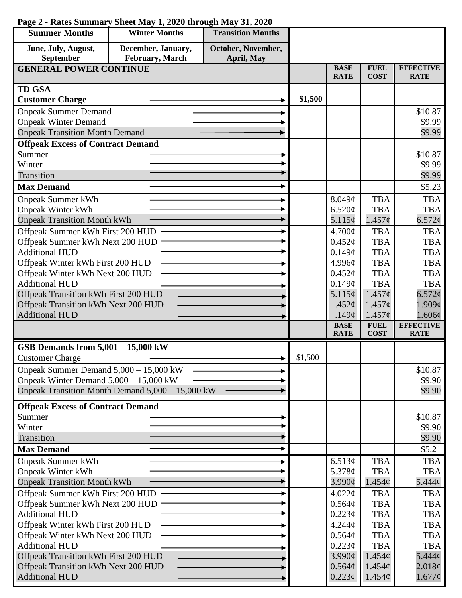| <b>Summer Months</b>                                           | <b>Winter Months</b>                             | <b>Transition Months</b> |         |                            |                            |                                 |
|----------------------------------------------------------------|--------------------------------------------------|--------------------------|---------|----------------------------|----------------------------|---------------------------------|
| June, July, August,                                            | December, January,                               | October, November,       |         |                            |                            |                                 |
| September                                                      | February, March                                  | <b>April, May</b>        |         |                            |                            |                                 |
| <b>GENERAL POWER CONTINUE</b>                                  |                                                  |                          |         | <b>BASE</b><br><b>RATE</b> | <b>FUEL</b><br><b>COST</b> | <b>EFFECTIVE</b><br><b>RATE</b> |
| <b>TD GSA</b>                                                  |                                                  |                          |         |                            |                            |                                 |
| <b>Customer Charge</b>                                         |                                                  |                          | \$1,500 |                            |                            |                                 |
| <b>Onpeak Summer Demand</b>                                    |                                                  |                          |         |                            |                            | \$10.87                         |
| <b>Onpeak Winter Demand</b>                                    |                                                  |                          |         |                            |                            | \$9.99                          |
| <b>Onpeak Transition Month Demand</b>                          |                                                  |                          |         |                            |                            | \$9.99                          |
| <b>Offpeak Excess of Contract Demand</b>                       |                                                  |                          |         |                            |                            |                                 |
| Summer                                                         |                                                  |                          |         |                            |                            | \$10.87                         |
| Winter<br>Transition                                           |                                                  |                          |         |                            |                            | \$9.99<br>\$9.99                |
| <b>Max Demand</b>                                              |                                                  | ٠                        |         |                            |                            | \$5.23                          |
|                                                                |                                                  |                          |         |                            |                            |                                 |
| <b>Onpeak Summer kWh</b>                                       |                                                  |                          |         | 8.049¢                     | <b>TBA</b>                 | <b>TBA</b>                      |
| <b>Onpeak Winter kWh</b><br><b>Onpeak Transition Month kWh</b> |                                                  |                          |         | 6.520¢<br>5.115¢           | <b>TBA</b><br>$1.457\phi$  | <b>TBA</b><br>6.572¢            |
| Offpeak Summer kWh First 200 HUD                               |                                                  |                          |         | 4.700¢                     | <b>TBA</b>                 | <b>TBA</b>                      |
| Offpeak Summer kWh Next 200 HUD                                |                                                  |                          |         | $0.452\mathcal{C}$         | <b>TBA</b>                 | <b>TBA</b>                      |
| <b>Additional HUD</b>                                          |                                                  |                          |         | 0.149¢                     | <b>TBA</b>                 | <b>TBA</b>                      |
| Offpeak Winter kWh First 200 HUD                               |                                                  |                          |         | 4.996¢                     | <b>TBA</b>                 | <b>TBA</b>                      |
| Offpeak Winter kWh Next 200 HUD                                |                                                  |                          |         | $0.452\mathcal{C}$         | <b>TBA</b>                 | <b>TBA</b>                      |
| <b>Additional HUD</b>                                          |                                                  |                          |         | 0.149¢                     | <b>TBA</b>                 | <b>TBA</b>                      |
| Offpeak Transition kWh First 200 HUD                           |                                                  |                          |         | 5.115¢                     | $1.457\phi$                | 6.572¢                          |
| Offpeak Transition kWh Next 200 HUD                            |                                                  |                          |         | .452 $\varphi$             | $1.457\phi$                | 1.909¢                          |
| <b>Additional HUD</b>                                          |                                                  |                          |         | .149 $\phi$                | $1.457\phi$                | $1.606\phi$                     |
|                                                                |                                                  |                          |         | <b>BASE</b><br><b>RATE</b> | <b>FUEL</b><br><b>COST</b> | <b>EFFECTIVE</b><br><b>RATE</b> |
| GSB Demands from 5,001 - 15,000 kW                             |                                                  |                          |         |                            |                            |                                 |
| <b>Customer Charge</b>                                         |                                                  |                          | \$1,500 |                            |                            |                                 |
| Onpeak Summer Demand 5,000 - 15,000 kW                         |                                                  |                          |         |                            |                            | \$10.87                         |
| Onpeak Winter Demand $5,000 - 15,000$ kW                       |                                                  |                          |         |                            |                            | \$9.90                          |
|                                                                | Onpeak Transition Month Demand 5,000 - 15,000 kW |                          |         |                            |                            | \$9.90                          |
| <b>Offpeak Excess of Contract Demand</b>                       |                                                  |                          |         |                            |                            |                                 |
| Summer                                                         |                                                  |                          |         |                            |                            | \$10.87                         |
| Winter                                                         |                                                  |                          |         |                            |                            | \$9.90                          |
| Transition                                                     |                                                  |                          |         |                            |                            | \$9.90                          |
| <b>Max Demand</b>                                              |                                                  |                          |         |                            |                            | \$5.21                          |
| <b>Onpeak Summer kWh</b>                                       |                                                  |                          |         | 6.513¢                     | <b>TBA</b>                 | <b>TBA</b>                      |
| <b>Onpeak Winter kWh</b>                                       |                                                  |                          |         | 5.378 $\phi$               | <b>TBA</b>                 | <b>TBA</b>                      |
| <b>Onpeak Transition Month kWh</b>                             |                                                  |                          |         | $3.990\phi$                | 1.454¢                     | $5.444\phi$                     |
| Offpeak Summer kWh First 200 HUD                               |                                                  |                          |         | 4.022¢                     | <b>TBA</b>                 | <b>TBA</b>                      |
| Offpeak Summer kWh Next 200 HUD<br><b>Additional HUD</b>       |                                                  |                          |         | 0.564¢<br>$0.223\phi$      | <b>TBA</b><br><b>TBA</b>   | <b>TBA</b><br><b>TBA</b>        |
| Offpeak Winter kWh First 200 HUD                               |                                                  |                          |         | 4.244 <sub>c</sub>         | <b>TBA</b>                 | <b>TBA</b>                      |
| Offpeak Winter kWh Next 200 HUD                                |                                                  |                          |         | 0.564¢                     | <b>TBA</b>                 | <b>TBA</b>                      |
| <b>Additional HUD</b>                                          |                                                  |                          |         | 0.223¢                     | <b>TBA</b>                 | <b>TBA</b>                      |
| Offpeak Transition kWh First 200 HUD                           |                                                  |                          |         | 3.990¢                     | 1.454¢                     | $5.444\phi$                     |
| Offpeak Transition kWh Next 200 HUD                            |                                                  |                          |         | 0.564¢                     | 1.454¢                     | 2.018¢                          |
| <b>Additional HUD</b>                                          |                                                  |                          |         | $0.223\epsilon$            | $1.454\phi$                | $1.677\phi$                     |

## **Page 2 - Rates Summary Sheet May 1, 2020 through May 31, 2020**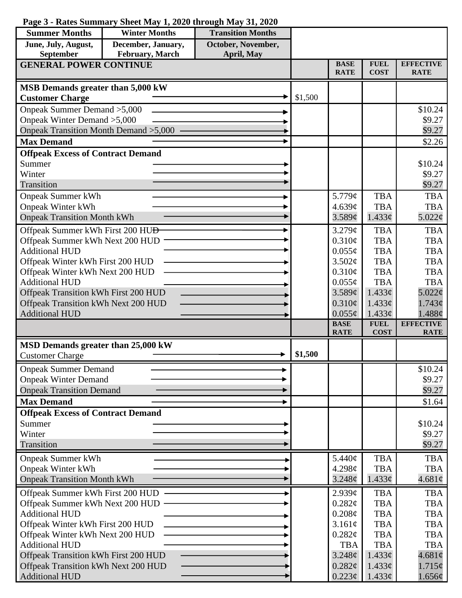## **Page 3 - Rates Summary Sheet May 1, 2020 through May 31, 2020 Summer Months Winter Months Transition Months June, July, August, September December, January, February, March October, November, April, May GENERAL POWER CONTINUE BASE**

| June, July, August,                                                 | December, January, | October, November,                       |         |                                |                            |                                 |
|---------------------------------------------------------------------|--------------------|------------------------------------------|---------|--------------------------------|----------------------------|---------------------------------|
| September                                                           | February, March    | April, May                               |         |                                |                            |                                 |
| <b>GENERAL POWER CONTINUE</b>                                       |                    |                                          |         | <b>BASE</b><br><b>RATE</b>     | <b>FUEL</b><br><b>COST</b> | <b>EFFECTIVE</b><br><b>RATE</b> |
|                                                                     |                    |                                          |         |                                |                            |                                 |
| MSB Demands greater than 5,000 kW                                   |                    |                                          | \$1,500 |                                |                            |                                 |
| <b>Customer Charge</b>                                              |                    |                                          |         |                                |                            |                                 |
| Onpeak Summer Demand > 5,000                                        |                    |                                          |         |                                |                            | \$10.24                         |
| Onpeak Winter Demand > 5,000                                        |                    |                                          |         |                                |                            | \$9.27                          |
| Onpeak Transition Month Demand > 5,000 -                            |                    |                                          |         |                                |                            | \$9.27                          |
| <b>Max Demand</b>                                                   |                    |                                          |         |                                |                            | \$2.26                          |
| <b>Offpeak Excess of Contract Demand</b>                            |                    |                                          |         |                                |                            |                                 |
| Summer<br>Winter                                                    |                    |                                          |         |                                |                            | \$10.24                         |
| <b>Transition</b>                                                   |                    |                                          |         |                                |                            | \$9.27<br>\$9.27                |
|                                                                     |                    |                                          |         |                                | <b>TBA</b>                 | <b>TBA</b>                      |
| <b>Onpeak Summer kWh</b>                                            |                    |                                          |         | 5.779¢<br>4.639c               | <b>TBA</b>                 | <b>TBA</b>                      |
| <b>Onpeak Winter kWh</b><br><b>Onpeak Transition Month kWh</b>      |                    |                                          |         | 3.589¢                         | 1.433¢                     | 5.022¢                          |
|                                                                     |                    |                                          |         |                                |                            |                                 |
| Offpeak Summer kWh First 200 HU <del>D</del>                        |                    |                                          |         | 3.279¢                         | <b>TBA</b>                 | <b>TBA</b>                      |
| Offpeak Summer kWh Next 200 HUD                                     |                    |                                          |         | $0.310\phi$                    | <b>TBA</b>                 | <b>TBA</b>                      |
| <b>Additional HUD</b>                                               |                    |                                          |         | $0.055\phi$                    | <b>TBA</b>                 | <b>TBA</b>                      |
| Offpeak Winter kWh First 200 HUD<br>Offpeak Winter kWh Next 200 HUD |                    |                                          |         | 3.502¢<br>0.310¢               | <b>TBA</b><br><b>TBA</b>   | <b>TBA</b><br><b>TBA</b>        |
| <b>Additional HUD</b>                                               |                    |                                          |         | $0.055\phi$                    | <b>TBA</b>                 | <b>TBA</b>                      |
| Offpeak Transition kWh First 200 HUD                                |                    |                                          |         | 3.589¢                         | $1.433\ell$                | 5.022¢                          |
| Offpeak Transition kWh Next 200 HUD                                 |                    |                                          |         | $0.310\phi$                    | 1.433¢                     | 1.743¢                          |
| <b>Additional HUD</b>                                               |                    |                                          |         | $0.055\phi$                    | 1.433¢                     | 1.488¢                          |
|                                                                     |                    |                                          |         | <b>BASE</b>                    | <b>FUEL</b>                | <b>EFFECTIVE</b>                |
|                                                                     |                    |                                          |         | <b>RATE</b>                    | <b>COST</b>                | <b>RATE</b>                     |
| MSD Demands greater than 25,000 kW                                  |                    |                                          |         |                                |                            |                                 |
| <b>Customer Charge</b>                                              |                    |                                          | \$1,500 |                                |                            |                                 |
| <b>Onpeak Summer Demand</b>                                         |                    |                                          |         |                                |                            | \$10.24                         |
| <b>Onpeak Winter Demand</b>                                         |                    |                                          |         |                                |                            | \$9.27                          |
| <b>Onpeak Transition Demand</b>                                     |                    |                                          |         |                                |                            | \$9.27                          |
| <b>Max Demand</b>                                                   |                    |                                          |         |                                |                            | \$1.64                          |
|                                                                     |                    | <b>Offpeak Excess of Contract Demand</b> |         |                                |                            |                                 |
| Summer                                                              |                    |                                          |         |                                |                            |                                 |
| Winter                                                              |                    |                                          |         |                                |                            | \$10.24                         |
|                                                                     |                    |                                          |         |                                |                            | \$9.27                          |
| <b>Transition</b>                                                   |                    |                                          |         |                                |                            | \$9.27                          |
|                                                                     |                    |                                          |         |                                | <b>TBA</b>                 | <b>TBA</b>                      |
| <b>Onpeak Summer kWh</b>                                            |                    |                                          |         | 5.440¢<br>4.298¢               | <b>TBA</b>                 | <b>TBA</b>                      |
| <b>Onpeak Winter kWh</b><br><b>Onpeak Transition Month kWh</b>      |                    |                                          |         | $3.248\phi$                    | 1.433¢                     | $4.681\phi$                     |
|                                                                     |                    |                                          |         |                                |                            |                                 |
| Offpeak Summer kWh First 200 HUD                                    |                    |                                          |         | 2.939c                         | <b>TBA</b><br><b>TBA</b>   | <b>TBA</b><br><b>TBA</b>        |
| Offpeak Summer kWh Next 200 HUD<br><b>Additional HUD</b>            |                    |                                          |         | 0.282¢                         | <b>TBA</b>                 | <b>TBA</b>                      |
| Offpeak Winter kWh First 200 HUD                                    |                    |                                          |         | $0.208\phi$<br>3.161¢          | <b>TBA</b>                 | <b>TBA</b>                      |
| Offpeak Winter kWh Next 200 HUD                                     |                    |                                          |         | 0.282¢                         | <b>TBA</b>                 | <b>TBA</b>                      |
| <b>Additional HUD</b>                                               |                    |                                          |         | <b>TBA</b>                     | <b>TBA</b>                 | <b>TBA</b>                      |
| Offpeak Transition kWh First 200 HUD                                |                    |                                          |         | 3.248¢                         | $1.433\phi$                | $4.681\phi$                     |
| Offpeak Transition kWh Next 200 HUD<br><b>Additional HUD</b>        |                    |                                          |         | $0.282\ell$<br>$0.223\epsilon$ | $1.433\ell$<br>$1.433\phi$ | 1.715¢<br>1.656¢                |